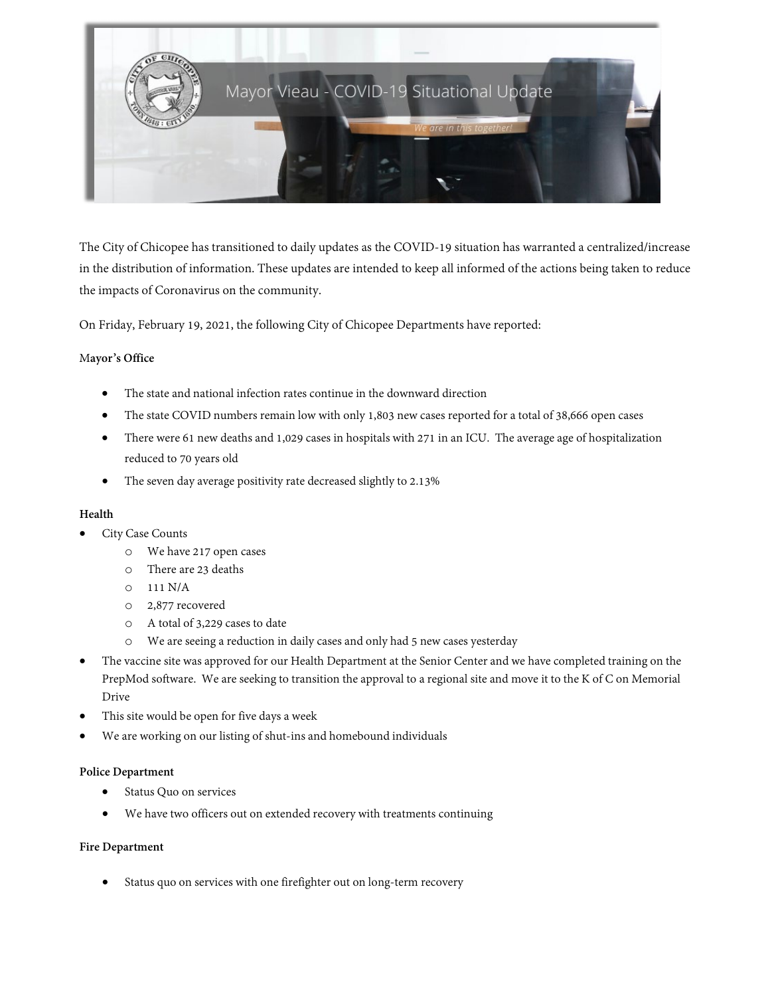

The City of Chicopee has transitioned to daily updates as the COVID-19 situation has warranted a centralized/increase in the distribution of information. These updates are intended to keep all informed of the actions being taken to reduce the impacts of Coronavirus on the community.

On Friday, February 19, 2021, the following City of Chicopee Departments have reported:

## M**ayor's Office**

- The state and national infection rates continue in the downward direction
- The state COVID numbers remain low with only 1,803 new cases reported for a total of 38,666 open cases
- There were 61 new deaths and 1,029 cases in hospitals with 271 in an ICU. The average age of hospitalization reduced to 70 years old
- The seven day average positivity rate decreased slightly to 2.13%

## **Health**

- City Case Counts
	- o We have 217 open cases
	- o There are 23 deaths
	- o 111 N/A
	- o 2,877 recovered
	- o A total of 3,229 cases to date
	- o We are seeing a reduction in daily cases and only had 5 new cases yesterday
- The vaccine site was approved for our Health Department at the Senior Center and we have completed training on the PrepMod software. We are seeking to transition the approval to a regional site and move it to the K of C on Memorial Drive
- This site would be open for five days a week
- We are working on our listing of shut-ins and homebound individuals

## **Police Department**

- Status Quo on services
- We have two officers out on extended recovery with treatments continuing

## **Fire Department**

Status quo on services with one firefighter out on long-term recovery